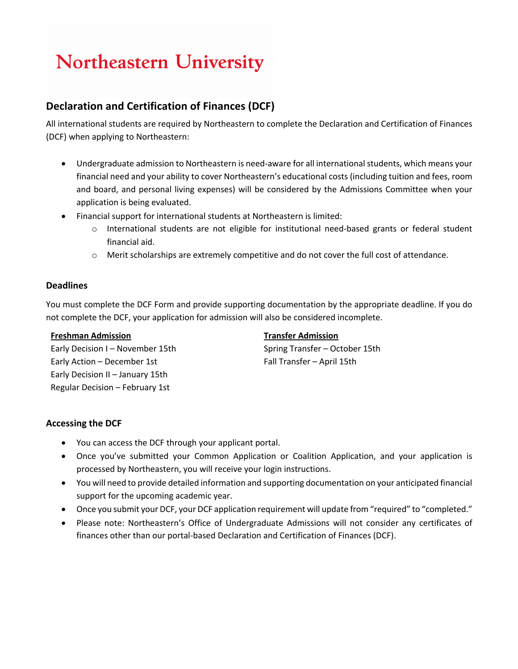# **Northeastern University**

# **Declaration and Certification of Finances (DCF)**

All international students are required by Northeastern to complete the Declaration and Certification of Finances (DCF) when applying to Northeastern:

- Undergraduate admission to Northeastern is need-aware for all international students, which means your financial need and your ability to cover Northeastern's educational costs (including tuition and fees, room and board, and personal living expenses) will be considered by the Admissions Committee when your application is being evaluated.
- Financial support for international students at Northeastern is limited:
	- $\circ$  International students are not eligible for institutional need-based grants or federal student financial aid.
	- o Merit scholarships are extremely competitive and do not cover the full cost of attendance.

### **Deadlines**

You must complete the DCF Form and provide supporting documentation by the appropriate deadline. If you do not complete the DCF, your application for admission will also be considered incomplete.

#### **Freshman Admission**

Early Decision I – November 15th Early Action – December 1st Early Decision II – January 15th Regular Decision – February 1st

#### **Transfer Admission**

Spring Transfer – October 15th Fall Transfer – April 15th

### **Accessing the DCF**

- You can access the DCF through your applicant portal.
- Once you've submitted your Common Application or Coalition Application, and your application is processed by Northeastern, you will receive your login instructions.
- You will need to provide detailed information and supporting documentation on your anticipated financial support for the upcoming academic year.
- Once you submit your DCF, your DCF application requirement will update from "required" to "completed."
- Please note: Northeastern's Office of Undergraduate Admissions will not consider any certificates of finances other than our portal-based Declaration and Certification of Finances (DCF).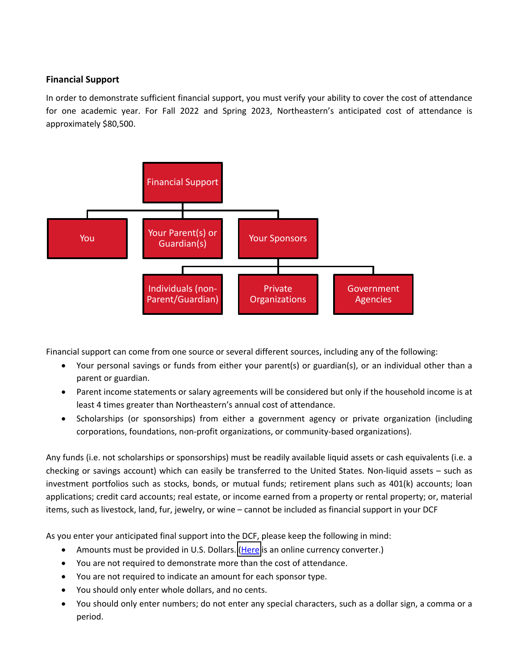## **Financial Support**

In order to demonstrate sufficient financial support, you must verify your ability to cover the cost of attendance for one academic year. For Fall 2022 and Spring 2023, Northeastern's anticipated cost of attendance is approximately \$80,500.



Financial support can come from one source or several different sources, including any of the following:

- Your personal savings or funds from either your parent(s) or guardian(s), or an individual other than a parent or guardian.
- Parent income statements or salary agreements will be considered but only if the household income is at least 4 times greater than Northeastern's annual cost of attendance.
- Scholarships (or sponsorships) from either a government agency or private organization (including corporations, foundations, non-profit organizations, or community-based organizations).

Any funds (i.e. not scholarships or sponsorships) must be readily available liquid assets or cash equivalents (i.e. a checking or savings account) which can easily be transferred to the United States. Non-liquid assets – such as investment portfolios such as stocks, bonds, or mutual funds; retirement plans such as 401(k) accounts; loan applications; credit card accounts; real estate, or income earned from a property or rental property; or, material items, such as livestock, land, fur, jewelry, or wine – cannot be included as financial support in your DCF

As you enter your anticipated final support into the DCF, please keep the following in mind:

- Amounts must be provided in U.S. Dollars. [\(Here](https://www1.oanda.com/currency/converter/) is an online currency converter.)
- You are not required to demonstrate more than the cost of attendance.
- You are not required to indicate an amount for each sponsor type.
- You should only enter whole dollars, and no cents.
- You should only enter numbers; do not enter any special characters, such as a dollar sign, a comma or a period.